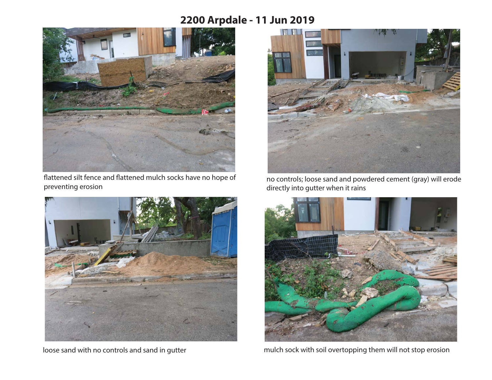## **2200 Arpdale - 11 Jun 2019**



flattened silt fence and flattened mulch socks have no hope of preventing erosion



loose sand with no controls and sand in gutter



no controls; loose sand and powdered cement (gray) will erode directly into gutter when it rains



mulch sock with soil overtopping them will not stop erosion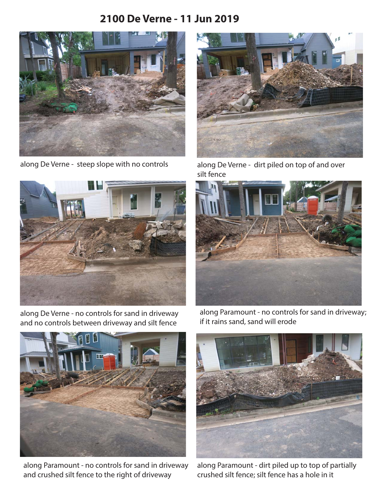## **2100 De Verne - 11 Jun 2019**



along De Verne - steep slope with no controls



along De Verne - no controls for sand in driveway and no controls between driveway and silt fence



along De Verne - dirt piled on top of and over silt fence



along Paramount - no controls for sand in driveway; if it rains sand, sand will erode



along Paramount - no controls for sand in driveway and crushed silt fence to the right of driveway



along Paramount - dirt piled up to top of partially crushed silt fence; silt fence has a hole in it